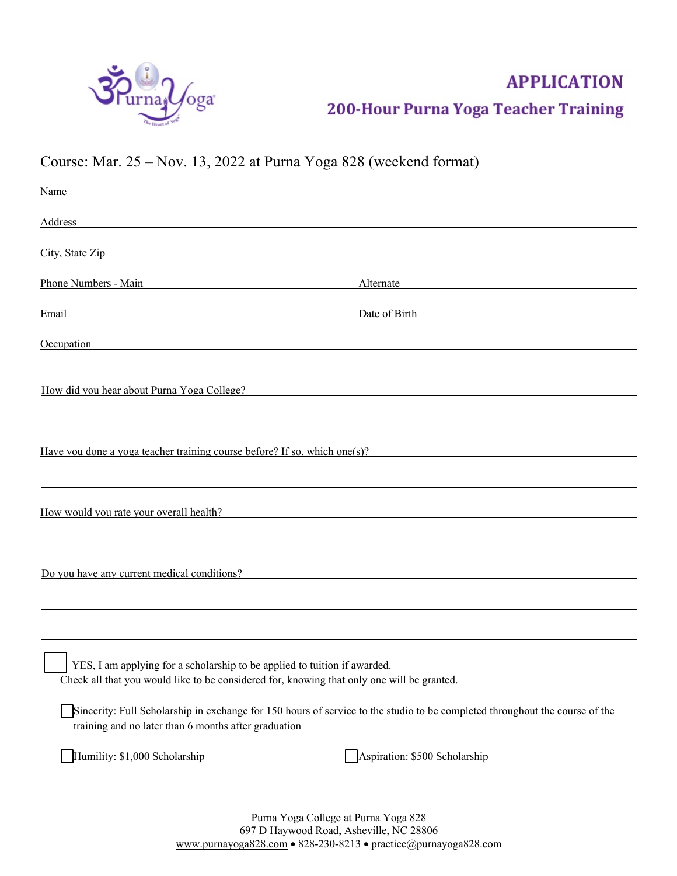

# **APPLICATION** 200-Hour Purna Yoga Teacher Training

# Course: Mar. 25 – Nov. 13, 2022 at Purna Yoga 828 (weekend format)

| Name and the contract of the contract of the contract of the contract of the contract of the contract of the contract of the contract of the contract of the contract of the contract of the contract of the contract of the c |                                                                                                                                                                                                                                |
|--------------------------------------------------------------------------------------------------------------------------------------------------------------------------------------------------------------------------------|--------------------------------------------------------------------------------------------------------------------------------------------------------------------------------------------------------------------------------|
| Address and the contract of the contract of the contract of the contract of the contract of the contract of the contract of the contract of the contract of the contract of the contract of the contract of the contract of th |                                                                                                                                                                                                                                |
|                                                                                                                                                                                                                                | City, State Zip                                                                                                                                                                                                                |
| Phone Numbers - Main                                                                                                                                                                                                           | Alternate                                                                                                                                                                                                                      |
| Email and the contract of the contract of the contract of the contract of the contract of the contract of the contract of the contract of the contract of the contract of the contract of the contract of the contract of the  | Date of Birth and the state of Birth and the state of Birth and the state of Birth and the state of Birth and the state of Birth and the state of Birth and the state of Birth and the state of Birth and the state of Birth a |
|                                                                                                                                                                                                                                | Occupation contract to the contract of the contract of the contract of the contract of the contract of the contract of the contract of the contract of the contract of the contract of the contract of the contract of the con |
|                                                                                                                                                                                                                                | How did you hear about Purna Yoga College?                                                                                                                                                                                     |
|                                                                                                                                                                                                                                |                                                                                                                                                                                                                                |
|                                                                                                                                                                                                                                | Have you done a yoga teacher training course before? If so, which one(s)?                                                                                                                                                      |
|                                                                                                                                                                                                                                |                                                                                                                                                                                                                                |
|                                                                                                                                                                                                                                | How would you rate your overall health?                                                                                                                                                                                        |
|                                                                                                                                                                                                                                |                                                                                                                                                                                                                                |
|                                                                                                                                                                                                                                | Do you have any current medical conditions?                                                                                                                                                                                    |
|                                                                                                                                                                                                                                |                                                                                                                                                                                                                                |
|                                                                                                                                                                                                                                |                                                                                                                                                                                                                                |
| YES, I am applying for a scholarship to be applied to tuition if awarded.                                                                                                                                                      | Check all that you would like to be considered for, knowing that only one will be granted.                                                                                                                                     |
| training and no later than 6 months after graduation                                                                                                                                                                           | Sincerity: Full Scholarship in exchange for 150 hours of service to the studio to be completed throughout the course of the                                                                                                    |
| Humility: \$1,000 Scholarship                                                                                                                                                                                                  | Aspiration: \$500 Scholarship                                                                                                                                                                                                  |
|                                                                                                                                                                                                                                | Purna Yoga College at Purna Yoga 828<br>697 D Haywood Road, Asheville, NC 28806                                                                                                                                                |

www.purnayoga828.com • 828-230-8213 • practice@purnayoga828.com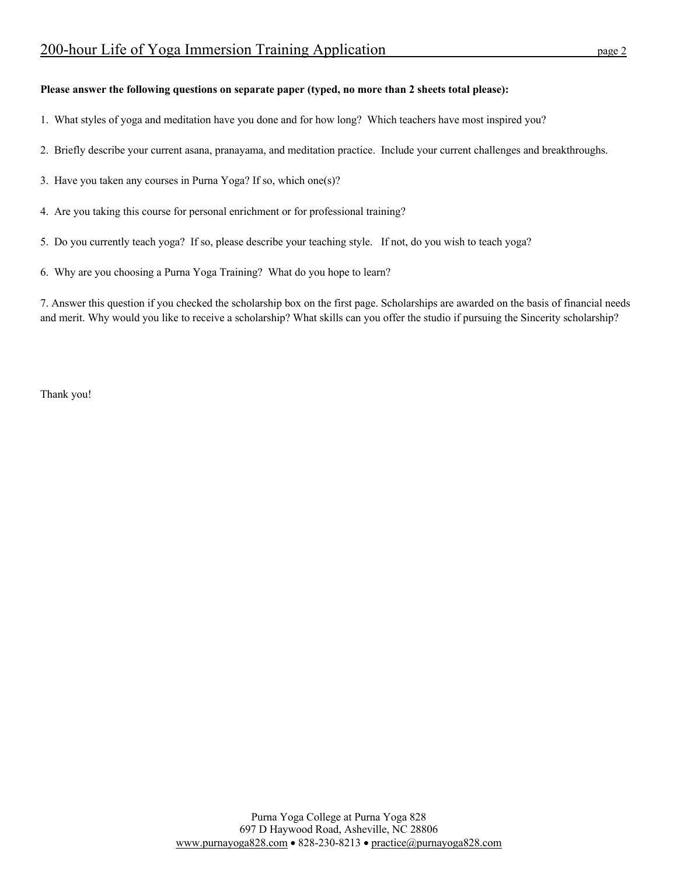#### **Please answer the following questions on separate paper (typed, no more than 2 sheets total please):**

- 1. What styles of yoga and meditation have you done and for how long? Which teachers have most inspired you?
- 2. Briefly describe your current asana, pranayama, and meditation practice. Include your current challenges and breakthroughs.
- 3. Have you taken any courses in Purna Yoga? If so, which one(s)?
- 4. Are you taking this course for personal enrichment or for professional training?
- 5. Do you currently teach yoga? If so, please describe your teaching style. If not, do you wish to teach yoga?
- 6. Why are you choosing a Purna Yoga Training? What do you hope to learn?

7. Answer this question if you checked the scholarship box on the first page. Scholarships are awarded on the basis of financial needs and merit. Why would you like to receive a scholarship? What skills can you offer the studio if pursuing the Sincerity scholarship?

Thank you!